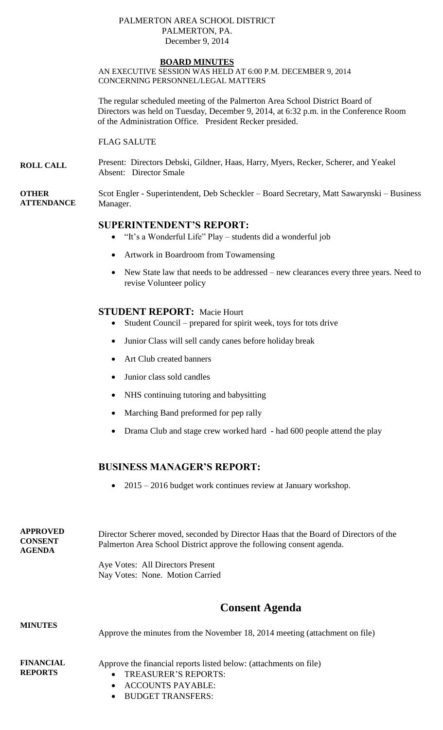#### PALMERTON AREA SCHOOL DISTRICT PALMERTON, PA. December 9, 2014

### **BOARD MINUTES**

AN EXECUTIVE SESSION WAS HELD AT 6:00 P.M. DECEMBER 9, 2014 CONCERNING PERSONNEL/LEGAL MATTERS

The regular scheduled meeting of the Palmerton Area School District Board of Directors was held on Tuesday, December 9, 2014, at 6:32 p.m. in the Conference Room of the Administration Office. President Recker presided.

FLAG SALUTE

**ROLL CALL** Present: Directors Debski, Gildner, Haas, Harry, Myers, Recker, Scherer, and Yeakel Absent: Director Smale

**OTHER ATTENDANCE** Scot Engler - Superintendent, Deb Scheckler – Board Secretary, Matt Sawarynski – Business Manager.

# **SUPERINTENDENT'S REPORT:**

- "It's a Wonderful Life" Play students did a wonderful job
- Artwork in Boardroom from Towamensing
- New State law that needs to be addressed new clearances every three years. Need to revise Volunteer policy

## **STUDENT REPORT:** Macie Hourt

- Student Council prepared for spirit week, toys for tots drive
- Junior Class will sell candy canes before holiday break
- Art Club created banners
- Junior class sold candles
- NHS continuing tutoring and babysitting
- Marching Band preformed for pep rally
- Drama Club and stage crew worked hard had 600 people attend the play

# **BUSINESS MANAGER'S REPORT:**

• 2015 – 2016 budget work continues review at January workshop.

**APPROVED CONSENT AGENDA**  Director Scherer moved, seconded by Director Haas that the Board of Directors of the Palmerton Area School District approve the following consent agenda. Aye Votes: All Directors Present Nay Votes: None. Motion Carried

# **Consent Agenda**

**MINUTES FINANCIAL REPORTS** Approve the minutes from the November 18, 2014 meeting (attachment on file) Approve the financial reports listed below: (attachments on file) TREASURER'S REPORTS: ACCOUNTS PAYABLE:

- 
- BUDGET TRANSFERS: